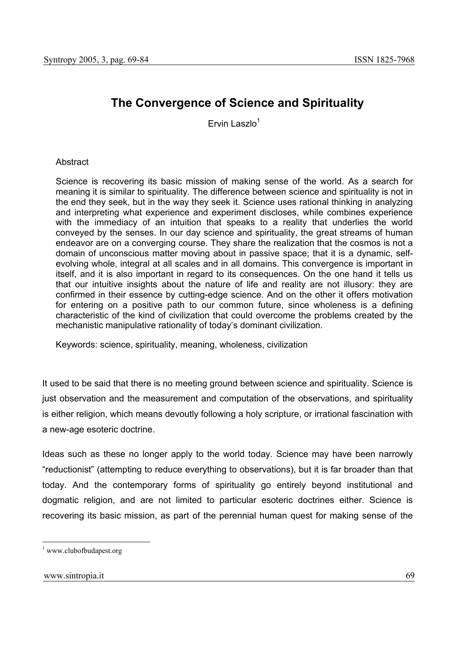# **The Convergence of Science and Spirituality**

Ervin Laszlo $1$ 

# **Abstract**

Science is recovering its basic mission of making sense of the world. As a search for meaning it is similar to spirituality. The difference between science and spirituality is not in the end they seek, but in the way they seek it. Science uses rational thinking in analyzing and interpreting what experience and experiment discloses, while combines experience with the immediacy of an intuition that speaks to a reality that underlies the world conveyed by the senses. In our day science and spirituality, the great streams of human endeavor are on a converging course. They share the realization that the cosmos is not a domain of unconscious matter moving about in passive space; that it is a dynamic, selfevolving whole, integral at all scales and in all domains. This convergence is important in itself, and it is also important in regard to its consequences. On the one hand it tells us that our intuitive insights about the nature of life and reality are not illusory: they are confirmed in their essence by cutting-edge science. And on the other it offers motivation for entering on a positive path to our common future, since wholeness is a defining characteristic of the kind of civilization that could overcome the problems created by the mechanistic manipulative rationality of today's dominant civilization.

Keywords: science, spirituality, meaning, wholeness, civilization

It used to be said that there is no meeting ground between science and spirituality. Science is just observation and the measurement and computation of the observations, and spirituality is either religion, which means devoutly following a holy scripture, or irrational fascination with a new-age esoteric doctrine.

Ideas such as these no longer apply to the world today. Science may have been narrowly "reductionist" (attempting to reduce everything to observations), but it is far broader than that today. And the contemporary forms of spirituality go entirely beyond institutional and dogmatic religion, and are not limited to particular esoteric doctrines either. Science is recovering its basic mission, as part of the perennial human quest for making sense of the

<sup>1</sup> www.clubofbudapest.org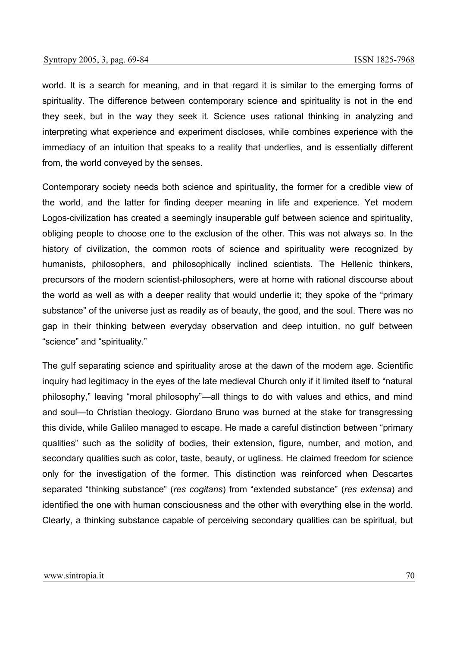world. It is a search for meaning, and in that regard it is similar to the emerging forms of spirituality. The difference between contemporary science and spirituality is not in the end they seek, but in the way they seek it. Science uses rational thinking in analyzing and interpreting what experience and experiment discloses, while combines experience with the immediacy of an intuition that speaks to a reality that underlies, and is essentially different from, the world conveyed by the senses.

Contemporary society needs both science and spirituality, the former for a credible view of the world, and the latter for finding deeper meaning in life and experience. Yet modern Logos-civilization has created a seemingly insuperable gulf between science and spirituality, obliging people to choose one to the exclusion of the other. This was not always so. In the history of civilization, the common roots of science and spirituality were recognized by humanists, philosophers, and philosophically inclined scientists. The Hellenic thinkers, precursors of the modern scientist-philosophers, were at home with rational discourse about the world as well as with a deeper reality that would underlie it; they spoke of the "primary substance" of the universe just as readily as of beauty, the good, and the soul. There was no gap in their thinking between everyday observation and deep intuition, no gulf between "science" and "spirituality."

The gulf separating science and spirituality arose at the dawn of the modern age. Scientific inquiry had legitimacy in the eyes of the late medieval Church only if it limited itself to "natural philosophy," leaving "moral philosophy"—all things to do with values and ethics, and mind and soul—to Christian theology. Giordano Bruno was burned at the stake for transgressing this divide, while Galileo managed to escape. He made a careful distinction between "primary qualities" such as the solidity of bodies, their extension, figure, number, and motion, and secondary qualities such as color, taste, beauty, or ugliness. He claimed freedom for science only for the investigation of the former. This distinction was reinforced when Descartes separated "thinking substance" (*res cogitans*) from "extended substance" (*res extensa*) and identified the one with human consciousness and the other with everything else in the world. Clearly, a thinking substance capable of perceiving secondary qualities can be spiritual, but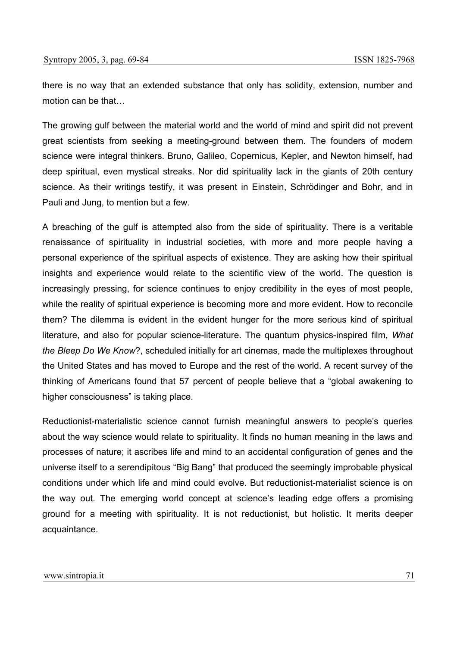there is no way that an extended substance that only has solidity, extension, number and motion can be that…

The growing gulf between the material world and the world of mind and spirit did not prevent great scientists from seeking a meeting-ground between them. The founders of modern science were integral thinkers. Bruno, Galileo, Copernicus, Kepler, and Newton himself, had deep spiritual, even mystical streaks. Nor did spirituality lack in the giants of 20th century science. As their writings testify, it was present in Einstein, Schrödinger and Bohr, and in Pauli and Jung, to mention but a few.

A breaching of the gulf is attempted also from the side of spirituality. There is a veritable renaissance of spirituality in industrial societies, with more and more people having a personal experience of the spiritual aspects of existence. They are asking how their spiritual insights and experience would relate to the scientific view of the world. The question is increasingly pressing, for science continues to enjoy credibility in the eyes of most people, while the reality of spiritual experience is becoming more and more evident. How to reconcile them? The dilemma is evident in the evident hunger for the more serious kind of spiritual literature, and also for popular science-literature. The quantum physics-inspired film, *What the Bleep Do We Know*?, scheduled initially for art cinemas, made the multiplexes throughout the United States and has moved to Europe and the rest of the world. A recent survey of the thinking of Americans found that 57 percent of people believe that a "global awakening to higher consciousness" is taking place.

Reductionist-materialistic science cannot furnish meaningful answers to people's queries about the way science would relate to spirituality. It finds no human meaning in the laws and processes of nature; it ascribes life and mind to an accidental configuration of genes and the universe itself to a serendipitous "Big Bang" that produced the seemingly improbable physical conditions under which life and mind could evolve. But reductionist-materialist science is on the way out. The emerging world concept at science's leading edge offers a promising ground for a meeting with spirituality. It is not reductionist, but holistic. It merits deeper acquaintance.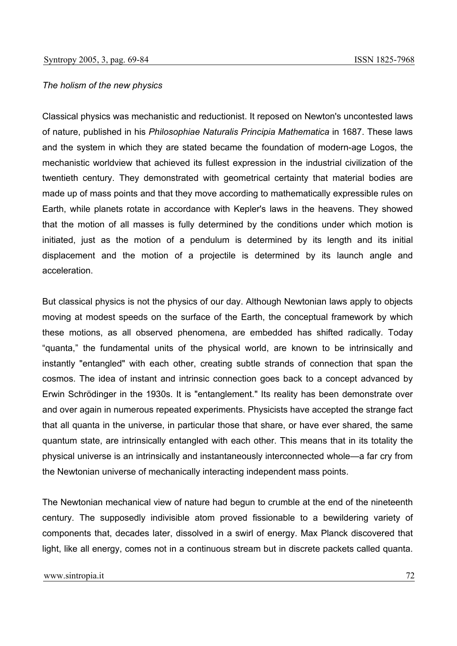## *The holism of the new physics*

Classical physics was mechanistic and reductionist. It reposed on Newton's uncontested laws of nature, published in his *Philosophiae Naturalis Principia Mathematica* in 1687. These laws and the system in which they are stated became the foundation of modern-age Logos, the mechanistic worldview that achieved its fullest expression in the industrial civilization of the twentieth century. They demonstrated with geometrical certainty that material bodies are made up of mass points and that they move according to mathematically expressible rules on Earth, while planets rotate in accordance with Kepler's laws in the heavens. They showed that the motion of all masses is fully determined by the conditions under which motion is initiated, just as the motion of a pendulum is determined by its length and its initial displacement and the motion of a projectile is determined by its launch angle and acceleration.

But classical physics is not the physics of our day. Although Newtonian laws apply to objects moving at modest speeds on the surface of the Earth, the conceptual framework by which these motions, as all observed phenomena, are embedded has shifted radically. Today "quanta," the fundamental units of the physical world, are known to be intrinsically and instantly "entangled" with each other, creating subtle strands of connection that span the cosmos. The idea of instant and intrinsic connection goes back to a concept advanced by Erwin Schrödinger in the 1930s. It is "entanglement." Its reality has been demonstrate over and over again in numerous repeated experiments. Physicists have accepted the strange fact that all quanta in the universe, in particular those that share, or have ever shared, the same quantum state, are intrinsically entangled with each other. This means that in its totality the physical universe is an intrinsically and instantaneously interconnected whole—a far cry from the Newtonian universe of mechanically interacting independent mass points.

The Newtonian mechanical view of nature had begun to crumble at the end of the nineteenth century. The supposedly indivisible atom proved fissionable to a bewildering variety of components that, decades later, dissolved in a swirl of energy. Max Planck discovered that light, like all energy, comes not in a continuous stream but in discrete packets called quanta.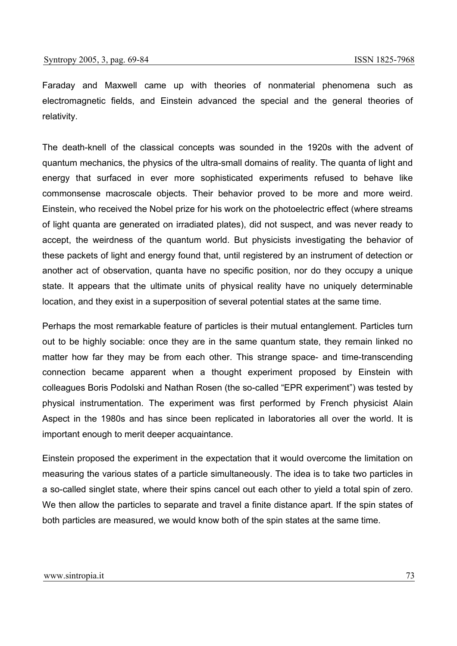Faraday and Maxwell came up with theories of nonmaterial phenomena such as electromagnetic fields, and Einstein advanced the special and the general theories of relativity.

The death-knell of the classical concepts was sounded in the 1920s with the advent of quantum mechanics, the physics of the ultra-small domains of reality. The quanta of light and energy that surfaced in ever more sophisticated experiments refused to behave like commonsense macroscale objects. Their behavior proved to be more and more weird. Einstein, who received the Nobel prize for his work on the photoelectric effect (where streams of light quanta are generated on irradiated plates), did not suspect, and was never ready to accept, the weirdness of the quantum world. But physicists investigating the behavior of these packets of light and energy found that, until registered by an instrument of detection or another act of observation, quanta have no specific position, nor do they occupy a unique state. It appears that the ultimate units of physical reality have no uniquely determinable location, and they exist in a superposition of several potential states at the same time.

Perhaps the most remarkable feature of particles is their mutual entanglement. Particles turn out to be highly sociable: once they are in the same quantum state, they remain linked no matter how far they may be from each other. This strange space- and time-transcending connection became apparent when a thought experiment proposed by Einstein with colleagues Boris Podolski and Nathan Rosen (the so-called "EPR experiment") was tested by physical instrumentation. The experiment was first performed by French physicist Alain Aspect in the 1980s and has since been replicated in laboratories all over the world. It is important enough to merit deeper acquaintance.

Einstein proposed the experiment in the expectation that it would overcome the limitation on measuring the various states of a particle simultaneously. The idea is to take two particles in a so-called singlet state, where their spins cancel out each other to yield a total spin of zero. We then allow the particles to separate and travel a finite distance apart. If the spin states of both particles are measured, we would know both of the spin states at the same time.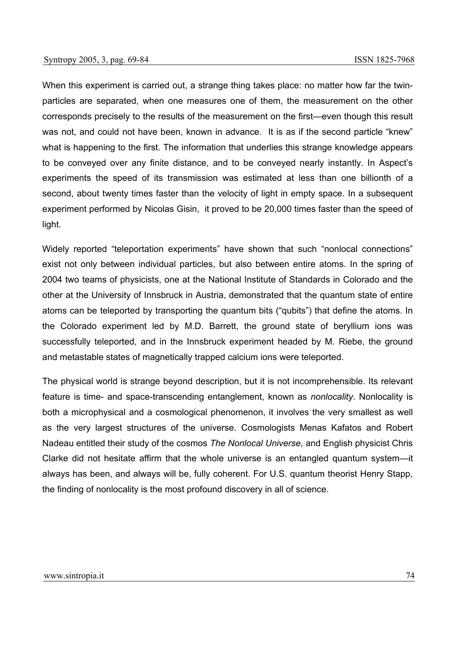When this experiment is carried out, a strange thing takes place: no matter how far the twinparticles are separated, when one measures one of them, the measurement on the other corresponds precisely to the results of the measurement on the first—even though this result was not, and could not have been, known in advance. It is as if the second particle "knew" what is happening to the first. The information that underlies this strange knowledge appears to be conveyed over any finite distance, and to be conveyed nearly instantly. In Aspect's experiments the speed of its transmission was estimated at less than one billionth of a second, about twenty times faster than the velocity of light in empty space. In a subsequent experiment performed by Nicolas Gisin, it proved to be 20,000 times faster than the speed of light.

Widely reported "teleportation experiments" have shown that such "nonlocal connections" exist not only between individual particles, but also between entire atoms. In the spring of 2004 two teams of physicists, one at the National Institute of Standards in Colorado and the other at the University of Innsbruck in Austria, demonstrated that the quantum state of entire atoms can be teleported by transporting the quantum bits ("qubits") that define the atoms. In the Colorado experiment led by M.D. Barrett, the ground state of beryllium ions was successfully teleported, and in the Innsbruck experiment headed by M. Riebe, the ground and metastable states of magnetically trapped calcium ions were teleported.

The physical world is strange beyond description, but it is not incomprehensible. Its relevant feature is time- and space-transcending entanglement, known as *nonlocality*. Nonlocality is both a microphysical and a cosmological phenomenon, it involves the very smallest as well as the very largest structures of the universe. Cosmologists Menas Kafatos and Robert Nadeau entitled their study of the cosmos *The Nonlocal Universe*, and English physicist Chris Clarke did not hesitate affirm that the whole universe is an entangled quantum system—it always has been, and always will be, fully coherent. For U.S. quantum theorist Henry Stapp, the finding of nonlocality is the most profound discovery in all of science.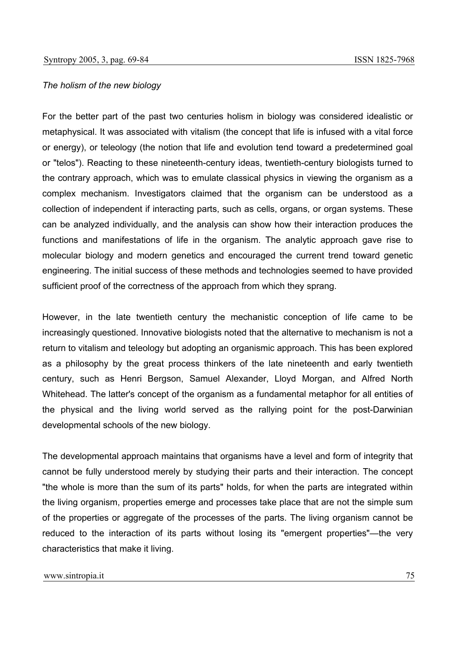## *The holism of the new biology*

For the better part of the past two centuries holism in biology was considered idealistic or metaphysical. It was associated with vitalism (the concept that life is infused with a vital force or energy), or teleology (the notion that life and evolution tend toward a predetermined goal or "telos"). Reacting to these nineteenth-century ideas, twentieth-century biologists turned to the contrary approach, which was to emulate classical physics in viewing the organism as a complex mechanism. Investigators claimed that the organism can be understood as a collection of independent if interacting parts, such as cells, organs, or organ systems. These can be analyzed individually, and the analysis can show how their interaction produces the functions and manifestations of life in the organism. The analytic approach gave rise to molecular biology and modern genetics and encouraged the current trend toward genetic engineering. The initial success of these methods and technologies seemed to have provided sufficient proof of the correctness of the approach from which they sprang.

However, in the late twentieth century the mechanistic conception of life came to be increasingly questioned. Innovative biologists noted that the alternative to mechanism is not a return to vitalism and teleology but adopting an organismic approach. This has been explored as a philosophy by the great process thinkers of the late nineteenth and early twentieth century, such as Henri Bergson, Samuel Alexander, Lloyd Morgan, and Alfred North Whitehead. The latter's concept of the organism as a fundamental metaphor for all entities of the physical and the living world served as the rallying point for the post-Darwinian developmental schools of the new biology.

The developmental approach maintains that organisms have a level and form of integrity that cannot be fully understood merely by studying their parts and their interaction. The concept "the whole is more than the sum of its parts" holds, for when the parts are integrated within the living organism, properties emerge and processes take place that are not the simple sum of the properties or aggregate of the processes of the parts. The living organism cannot be reduced to the interaction of its parts without losing its "emergent properties"—the very characteristics that make it living.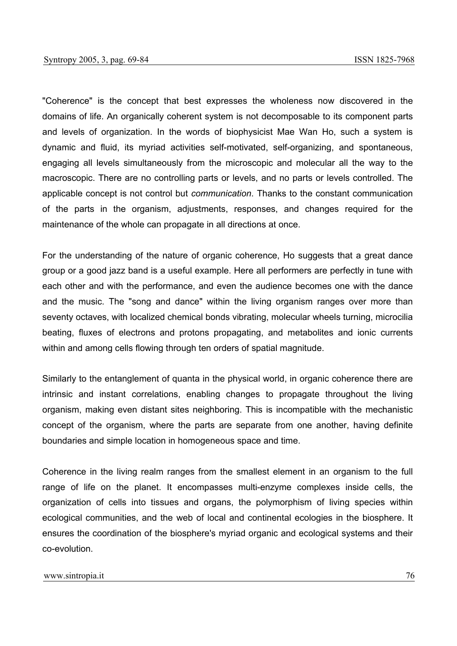"Coherence" is the concept that best expresses the wholeness now discovered in the domains of life. An organically coherent system is not decomposable to its component parts and levels of organization. In the words of biophysicist Mae Wan Ho, such a system is dynamic and fluid, its myriad activities self-motivated, self-organizing, and spontaneous, engaging all levels simultaneously from the microscopic and molecular all the way to the macroscopic. There are no controlling parts or levels, and no parts or levels controlled. The applicable concept is not control but *communication*. Thanks to the constant communication of the parts in the organism, adjustments, responses, and changes required for the maintenance of the whole can propagate in all directions at once.

For the understanding of the nature of organic coherence, Ho suggests that a great dance group or a good jazz band is a useful example. Here all performers are perfectly in tune with each other and with the performance, and even the audience becomes one with the dance and the music. The "song and dance" within the living organism ranges over more than seventy octaves, with localized chemical bonds vibrating, molecular wheels turning, microcilia beating, fluxes of electrons and protons propagating, and metabolites and ionic currents within and among cells flowing through ten orders of spatial magnitude.

Similarly to the entanglement of quanta in the physical world, in organic coherence there are intrinsic and instant correlations, enabling changes to propagate throughout the living organism, making even distant sites neighboring. This is incompatible with the mechanistic concept of the organism, where the parts are separate from one another, having definite boundaries and simple location in homogeneous space and time.

Coherence in the living realm ranges from the smallest element in an organism to the full range of life on the planet. It encompasses multi-enzyme complexes inside cells, the organization of cells into tissues and organs, the polymorphism of living species within ecological communities, and the web of local and continental ecologies in the biosphere. It ensures the coordination of the biosphere's myriad organic and ecological systems and their co-evolution.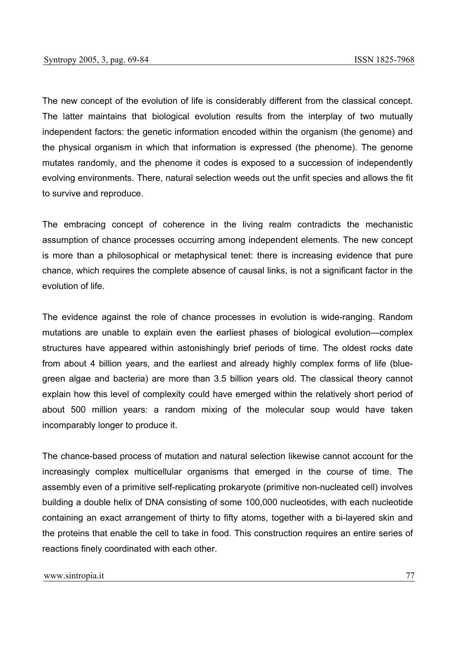The new concept of the evolution of life is considerably different from the classical concept. The latter maintains that biological evolution results from the interplay of two mutually independent factors: the genetic information encoded within the organism (the genome) and the physical organism in which that information is expressed (the phenome). The genome mutates randomly, and the phenome it codes is exposed to a succession of independently evolving environments. There, natural selection weeds out the unfit species and allows the fit to survive and reproduce.

The embracing concept of coherence in the living realm contradicts the mechanistic assumption of chance processes occurring among independent elements. The new concept is more than a philosophical or metaphysical tenet: there is increasing evidence that pure chance, which requires the complete absence of causal links, is not a significant factor in the evolution of life.

The evidence against the role of chance processes in evolution is wide-ranging. Random mutations are unable to explain even the earliest phases of biological evolution—complex structures have appeared within astonishingly brief periods of time. The oldest rocks date from about 4 billion years, and the earliest and already highly complex forms of life (bluegreen algae and bacteria) are more than 3.5 billion years old. The classical theory cannot explain how this level of complexity could have emerged within the relatively short period of about 500 million years: a random mixing of the molecular soup would have taken incomparably longer to produce it.

The chance-based process of mutation and natural selection likewise cannot account for the increasingly complex multicellular organisms that emerged in the course of time. The assembly even of a primitive self-replicating prokaryote (primitive non-nucleated cell) involves building a double helix of DNA consisting of some 100,000 nucleotides, with each nucleotide containing an exact arrangement of thirty to fifty atoms, together with a bi-layered skin and the proteins that enable the cell to take in food. This construction requires an entire series of reactions finely coordinated with each other.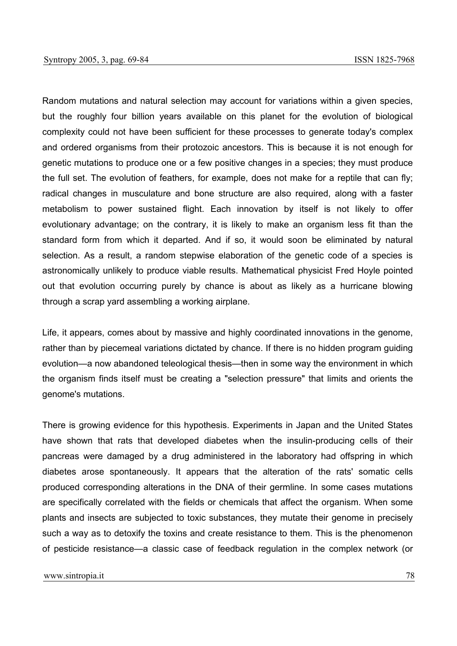Random mutations and natural selection may account for variations within a given species, but the roughly four billion years available on this planet for the evolution of biological complexity could not have been sufficient for these processes to generate today's complex and ordered organisms from their protozoic ancestors. This is because it is not enough for genetic mutations to produce one or a few positive changes in a species; they must produce the full set. The evolution of feathers, for example, does not make for a reptile that can fly; radical changes in musculature and bone structure are also required, along with a faster metabolism to power sustained flight. Each innovation by itself is not likely to offer evolutionary advantage; on the contrary, it is likely to make an organism less fit than the standard form from which it departed. And if so, it would soon be eliminated by natural selection. As a result, a random stepwise elaboration of the genetic code of a species is astronomically unlikely to produce viable results. Mathematical physicist Fred Hoyle pointed out that evolution occurring purely by chance is about as likely as a hurricane blowing through a scrap yard assembling a working airplane.

Life, it appears, comes about by massive and highly coordinated innovations in the genome, rather than by piecemeal variations dictated by chance. If there is no hidden program guiding evolution—a now abandoned teleological thesis—then in some way the environment in which the organism finds itself must be creating a "selection pressure" that limits and orients the genome's mutations.

There is growing evidence for this hypothesis. Experiments in Japan and the United States have shown that rats that developed diabetes when the insulin-producing cells of their pancreas were damaged by a drug administered in the laboratory had offspring in which diabetes arose spontaneously. It appears that the alteration of the rats' somatic cells produced corresponding alterations in the DNA of their germline. In some cases mutations are specifically correlated with the fields or chemicals that affect the organism. When some plants and insects are subjected to toxic substances, they mutate their genome in precisely such a way as to detoxify the toxins and create resistance to them. This is the phenomenon of pesticide resistance—a classic case of feedback regulation in the complex network (or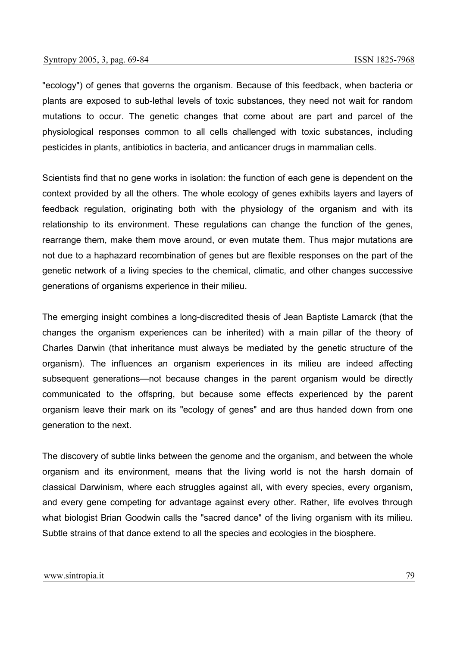"ecology") of genes that governs the organism. Because of this feedback, when bacteria or plants are exposed to sub-lethal levels of toxic substances, they need not wait for random mutations to occur. The genetic changes that come about are part and parcel of the physiological responses common to all cells challenged with toxic substances, including pesticides in plants, antibiotics in bacteria, and anticancer drugs in mammalian cells.

Scientists find that no gene works in isolation: the function of each gene is dependent on the context provided by all the others. The whole ecology of genes exhibits layers and layers of feedback regulation, originating both with the physiology of the organism and with its relationship to its environment. These regulations can change the function of the genes, rearrange them, make them move around, or even mutate them. Thus major mutations are not due to a haphazard recombination of genes but are flexible responses on the part of the genetic network of a living species to the chemical, climatic, and other changes successive generations of organisms experience in their milieu.

The emerging insight combines a long-discredited thesis of Jean Baptiste Lamarck (that the changes the organism experiences can be inherited) with a main pillar of the theory of Charles Darwin (that inheritance must always be mediated by the genetic structure of the organism). The influences an organism experiences in its milieu are indeed affecting subsequent generations—not because changes in the parent organism would be directly communicated to the offspring, but because some effects experienced by the parent organism leave their mark on its "ecology of genes" and are thus handed down from one generation to the next.

The discovery of subtle links between the genome and the organism, and between the whole organism and its environment, means that the living world is not the harsh domain of classical Darwinism, where each struggles against all, with every species, every organism, and every gene competing for advantage against every other. Rather, life evolves through what biologist Brian Goodwin calls the "sacred dance" of the living organism with its milieu. Subtle strains of that dance extend to all the species and ecologies in the biosphere.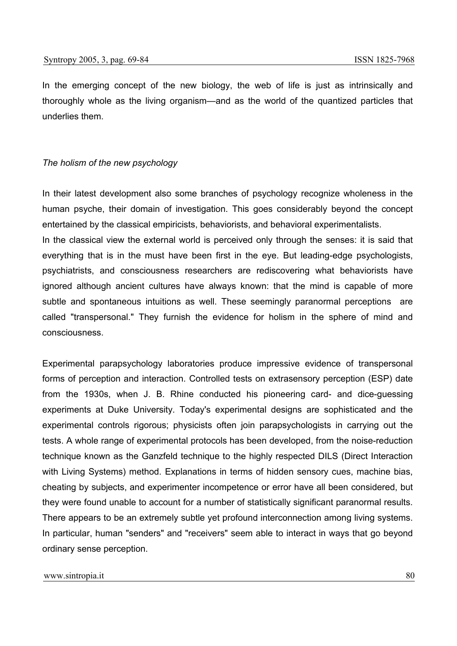In the emerging concept of the new biology, the web of life is just as intrinsically and thoroughly whole as the living organism—and as the world of the quantized particles that underlies them.

## *The holism of the new psychology*

In their latest development also some branches of psychology recognize wholeness in the human psyche, their domain of investigation. This goes considerably beyond the concept entertained by the classical empiricists, behaviorists, and behavioral experimentalists.

In the classical view the external world is perceived only through the senses: it is said that everything that is in the must have been first in the eye. But leading-edge psychologists, psychiatrists, and consciousness researchers are rediscovering what behaviorists have ignored although ancient cultures have always known: that the mind is capable of more subtle and spontaneous intuitions as well. These seemingly paranormal perceptions are called "transpersonal." They furnish the evidence for holism in the sphere of mind and consciousness.

Experimental parapsychology laboratories produce impressive evidence of transpersonal forms of perception and interaction. Controlled tests on extrasensory perception (ESP) date from the 1930s, when J. B. Rhine conducted his pioneering card- and dice-guessing experiments at Duke University. Today's experimental designs are sophisticated and the experimental controls rigorous; physicists often join parapsychologists in carrying out the tests. A whole range of experimental protocols has been developed, from the noise-reduction technique known as the Ganzfeld technique to the highly respected DILS (Direct Interaction with Living Systems) method. Explanations in terms of hidden sensory cues, machine bias, cheating by subjects, and experimenter incompetence or error have all been considered, but they were found unable to account for a number of statistically significant paranormal results. There appears to be an extremely subtle yet profound interconnection among living systems. In particular, human "senders" and "receivers" seem able to interact in ways that go beyond ordinary sense perception.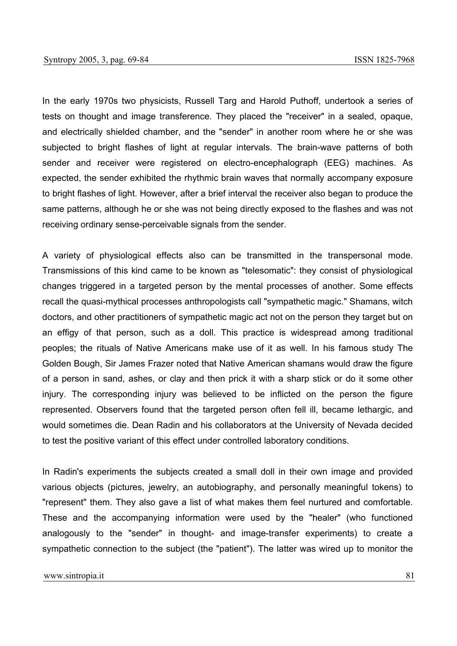In the early 1970s two physicists, Russell Targ and Harold Puthoff, undertook a series of tests on thought and image transference. They placed the "receiver" in a sealed, opaque, and electrically shielded chamber, and the "sender" in another room where he or she was subjected to bright flashes of light at regular intervals. The brain-wave patterns of both sender and receiver were registered on electro-encephalograph (EEG) machines. As expected, the sender exhibited the rhythmic brain waves that normally accompany exposure to bright flashes of light. However, after a brief interval the receiver also began to produce the same patterns, although he or she was not being directly exposed to the flashes and was not receiving ordinary sense-perceivable signals from the sender.

A variety of physiological effects also can be transmitted in the transpersonal mode. Transmissions of this kind came to be known as "telesomatic": they consist of physiological changes triggered in a targeted person by the mental processes of another. Some effects recall the quasi-mythical processes anthropologists call "sympathetic magic." Shamans, witch doctors, and other practitioners of sympathetic magic act not on the person they target but on an effigy of that person, such as a doll. This practice is widespread among traditional peoples; the rituals of Native Americans make use of it as well. In his famous study The Golden Bough, Sir James Frazer noted that Native American shamans would draw the figure of a person in sand, ashes, or clay and then prick it with a sharp stick or do it some other injury. The corresponding injury was believed to be inflicted on the person the figure represented. Observers found that the targeted person often fell ill, became lethargic, and would sometimes die. Dean Radin and his collaborators at the University of Nevada decided to test the positive variant of this effect under controlled laboratory conditions.

In Radin's experiments the subjects created a small doll in their own image and provided various objects (pictures, jewelry, an autobiography, and personally meaningful tokens) to "represent" them. They also gave a list of what makes them feel nurtured and comfortable. These and the accompanying information were used by the "healer" (who functioned analogously to the "sender" in thought- and image-transfer experiments) to create a sympathetic connection to the subject (the "patient"). The latter was wired up to monitor the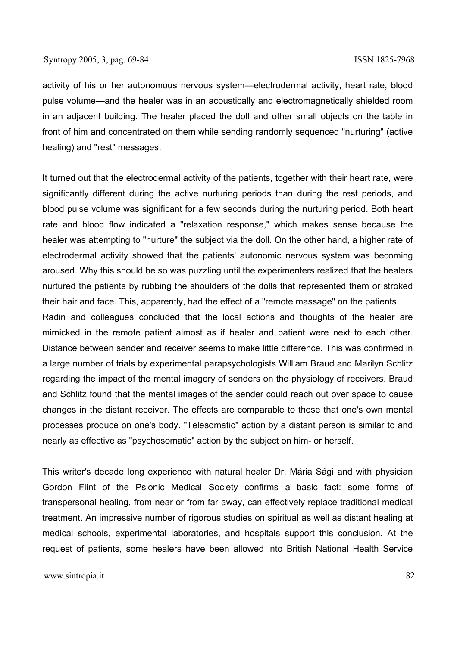activity of his or her autonomous nervous system—electrodermal activity, heart rate, blood pulse volume—and the healer was in an acoustically and electromagnetically shielded room in an adjacent building. The healer placed the doll and other small objects on the table in front of him and concentrated on them while sending randomly sequenced "nurturing" (active healing) and "rest" messages.

It turned out that the electrodermal activity of the patients, together with their heart rate, were significantly different during the active nurturing periods than during the rest periods, and blood pulse volume was significant for a few seconds during the nurturing period. Both heart rate and blood flow indicated a "relaxation response," which makes sense because the healer was attempting to "nurture" the subject via the doll. On the other hand, a higher rate of electrodermal activity showed that the patients' autonomic nervous system was becoming aroused. Why this should be so was puzzling until the experimenters realized that the healers nurtured the patients by rubbing the shoulders of the dolls that represented them or stroked their hair and face. This, apparently, had the effect of a "remote massage" on the patients.

Radin and colleagues concluded that the local actions and thoughts of the healer are mimicked in the remote patient almost as if healer and patient were next to each other. Distance between sender and receiver seems to make little difference. This was confirmed in a large number of trials by experimental parapsychologists William Braud and Marilyn Schlitz regarding the impact of the mental imagery of senders on the physiology of receivers. Braud and Schlitz found that the mental images of the sender could reach out over space to cause changes in the distant receiver. The effects are comparable to those that one's own mental processes produce on one's body. "Telesomatic" action by a distant person is similar to and nearly as effective as "psychosomatic" action by the subject on him- or herself.

This writer's decade long experience with natural healer Dr. Mária Sági and with physician Gordon Flint of the Psionic Medical Society confirms a basic fact: some forms of transpersonal healing, from near or from far away, can effectively replace traditional medical treatment. An impressive number of rigorous studies on spiritual as well as distant healing at medical schools, experimental laboratories, and hospitals support this conclusion. At the request of patients, some healers have been allowed into British National Health Service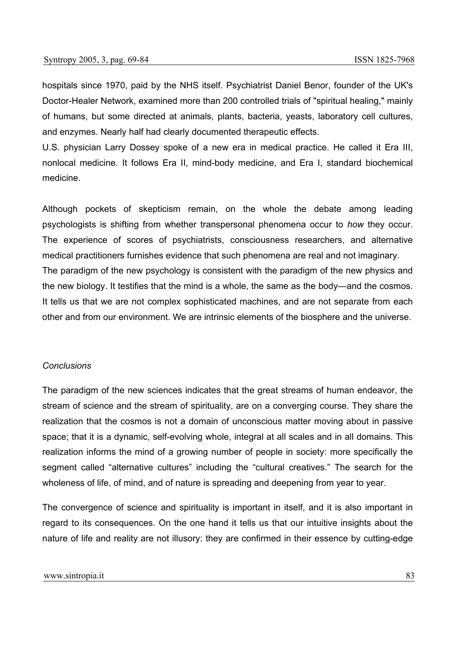hospitals since 1970, paid by the NHS itself. Psychiatrist Daniel Benor, founder of the UK's Doctor-Healer Network, examined more than 200 controlled trials of "spiritual healing," mainly of humans, but some directed at animals, plants, bacteria, yeasts, laboratory cell cultures, and enzymes. Nearly half had clearly documented therapeutic effects.

U.S. physician Larry Dossey spoke of a new era in medical practice. He called it Era III, nonlocal medicine. It follows Era II, mind-body medicine, and Era I, standard biochemical medicine.

Although pockets of skepticism remain, on the whole the debate among leading psychologists is shifting from whether transpersonal phenomena occur to *how* they occur. The experience of scores of psychiatrists, consciousness researchers, and alternative medical practitioners furnishes evidence that such phenomena are real and not imaginary. The paradigm of the new psychology is consistent with the paradigm of the new physics and the new biology. It testifies that the mind is a whole, the same as the body—and the cosmos. It tells us that we are not complex sophisticated machines, and are not separate from each other and from our environment. We are intrinsic elements of the biosphere and the universe.

## *Conclusions*

The paradigm of the new sciences indicates that the great streams of human endeavor, the stream of science and the stream of spirituality, are on a converging course. They share the realization that the cosmos is not a domain of unconscious matter moving about in passive space; that it is a dynamic, self-evolving whole, integral at all scales and in all domains. This realization informs the mind of a growing number of people in society: more specifically the segment called "alternative cultures" including the "cultural creatives." The search for the wholeness of life, of mind, and of nature is spreading and deepening from year to year.

The convergence of science and spirituality is important in itself, and it is also important in regard to its consequences. On the one hand it tells us that our intuitive insights about the nature of life and reality are not illusory: they are confirmed in their essence by cutting-edge